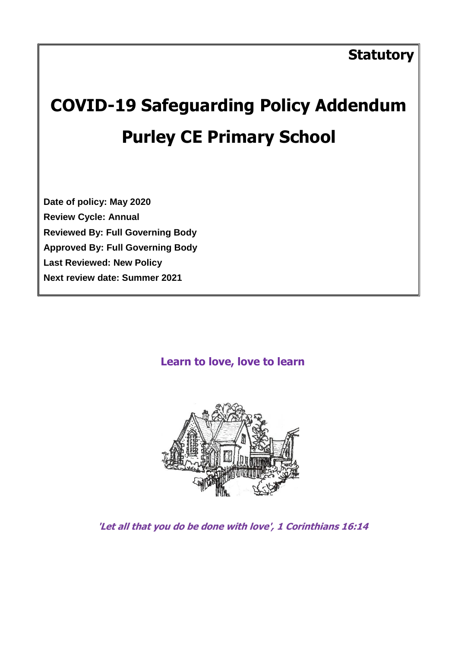# **COVID-19 Safeguarding Policy Addendum Purley CE Primary School**

**Date of policy: May 2020 Review Cycle: Annual Reviewed By: Full Governing Body Approved By: Full Governing Body Last Reviewed: New Policy Next review date: Summer 2021**

# **Learn to love, love to learn**



**'Let all that you do be done with love', 1 Corinthians 16:14**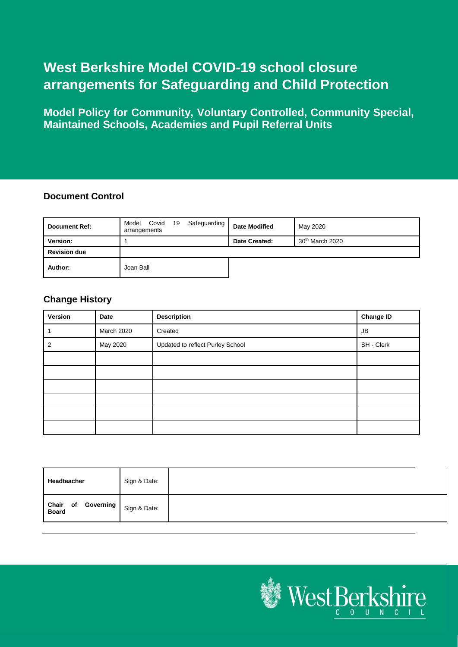# **West Berkshire Model COVID-19 school closure arrangements for Safeguarding and Child Protection**

**Model Policy for Community, Voluntary Controlled, Community Special, Maintained Schools, Academies and Pupil Referral Units**

#### **Document Control**

| <b>Document Ref:</b> | Covid 19<br>Safeguarding<br>Model<br>arrangements | <b>Date Modified</b> | May 2020                    |
|----------------------|---------------------------------------------------|----------------------|-----------------------------|
| Version:             |                                                   | Date Created:        | 30 <sup>th</sup> March 2020 |
| <b>Revision due</b>  |                                                   |                      |                             |
| Author:              | Joan Ball                                         |                      |                             |

#### **Change History**

| Version | Date       | <b>Description</b>               | <b>Change ID</b> |
|---------|------------|----------------------------------|------------------|
|         | March 2020 | Created                          | <b>JB</b>        |
| 2       | May 2020   | Updated to reflect Purley School | SH - Clerk       |
|         |            |                                  |                  |
|         |            |                                  |                  |
|         |            |                                  |                  |
|         |            |                                  |                  |
|         |            |                                  |                  |
|         |            |                                  |                  |

| <b>Headteacher</b>              | Sign & Date: |  |
|---------------------------------|--------------|--|
| Chair of Governing Sign & Date: |              |  |

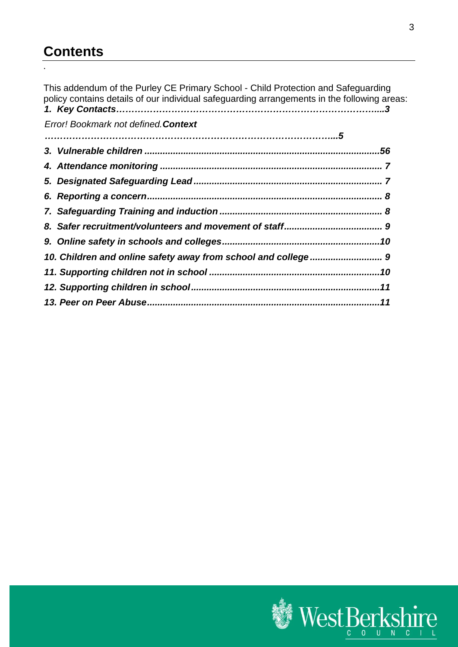# **Contents**

.

This addendum of the Purley CE Primary School - Child Protection and Safeguarding policy contains details of our individual safeguarding arrangements in the following areas: *1. Key Contacts…………………………………………………………………………....3*

*[Error! Bookmark not defined.](_Toc10222)Context* 

| 10. Children and online safety away from school and college  9 |  |
|----------------------------------------------------------------|--|
|                                                                |  |
|                                                                |  |
|                                                                |  |

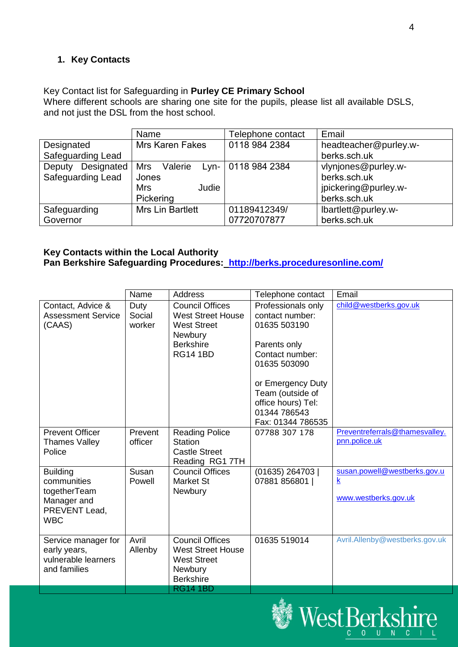# **1. Key Contacts**

Key Contact list for Safeguarding in **Purley CE Primary School**

Where different schools are sharing one site for the pupils, please list all available DSLS, and not just the DSL from the host school.

|                          | Name                    | Telephone contact  | Email                 |
|--------------------------|-------------------------|--------------------|-----------------------|
| Designated               | Mrs Karen Fakes         | 0118 984 2384      | headteacher@purley.w- |
| Safeguarding Lead        |                         |                    | berks.sch.uk          |
| Designated<br>Deputy     | Mrs<br>Valerie          | Lyn- 0118 984 2384 | vlynjones@purley.w-   |
| <b>Safeguarding Lead</b> | Jones                   |                    | berks.sch.uk          |
|                          | <b>Mrs</b><br>Judie     |                    | jpickering@purley.w-  |
|                          | Pickering               |                    | berks.sch.uk          |
| Safeguarding             | <b>Mrs Lin Bartlett</b> | 01189412349/       | lbartlett@purley.w-   |
| Governor                 |                         | 07720707877        | berks.sch.uk          |

# **Key Contacts within the Local Authority**

**Pan Berkshire Safeguarding Procedures: <http://berks.proceduresonline.com/>**

|                             | Name    | <b>Address</b>           | Telephone contact  | Email                          |
|-----------------------------|---------|--------------------------|--------------------|--------------------------------|
| Contact, Advice &           | Duty    | <b>Council Offices</b>   | Professionals only | child@westberks.gov.uk         |
| <b>Assessment Service</b>   | Social  | <b>West Street House</b> | contact number:    |                                |
| (CAAS)                      | worker  | <b>West Street</b>       | 01635 503190       |                                |
|                             |         | Newbury                  |                    |                                |
|                             |         | <b>Berkshire</b>         | Parents only       |                                |
|                             |         | <b>RG14 1BD</b>          | Contact number:    |                                |
|                             |         |                          | 01635 503090       |                                |
|                             |         |                          | or Emergency Duty  |                                |
|                             |         |                          | Team (outside of   |                                |
|                             |         |                          | office hours) Tel: |                                |
|                             |         |                          | 01344 786543       |                                |
|                             |         |                          | Fax: 01344 786535  |                                |
| <b>Prevent Officer</b>      | Prevent | <b>Reading Police</b>    | 07788 307 178      | Preventreferrals@thamesvalley. |
| <b>Thames Valley</b>        | officer | <b>Station</b>           |                    | pnn.police.uk                  |
| Police                      |         | <b>Castle Street</b>     |                    |                                |
|                             |         | Reading RG1 7TH          |                    |                                |
| <b>Building</b>             | Susan   | <b>Council Offices</b>   | (01635) 264703     | susan.powell@westberks.gov.u   |
| communities                 | Powell  | <b>Market St</b>         | 07881 856801       | $\underline{k}$                |
| togetherTeam                |         | Newbury                  |                    | www.westberks.gov.uk           |
| Manager and                 |         |                          |                    |                                |
| PREVENT Lead,<br><b>WBC</b> |         |                          |                    |                                |
|                             |         |                          |                    |                                |
| Service manager for         | Avril   | <b>Council Offices</b>   | 01635 519014       | Avril.Allenby@westberks.gov.uk |
| early years,                | Allenby | <b>West Street House</b> |                    |                                |
| vulnerable learners         |         | <b>West Street</b>       |                    |                                |
| and families                |         | Newbury                  |                    |                                |
|                             |         | <b>Berkshire</b>         |                    |                                |
|                             |         | <b>RG14 1BD</b>          |                    |                                |

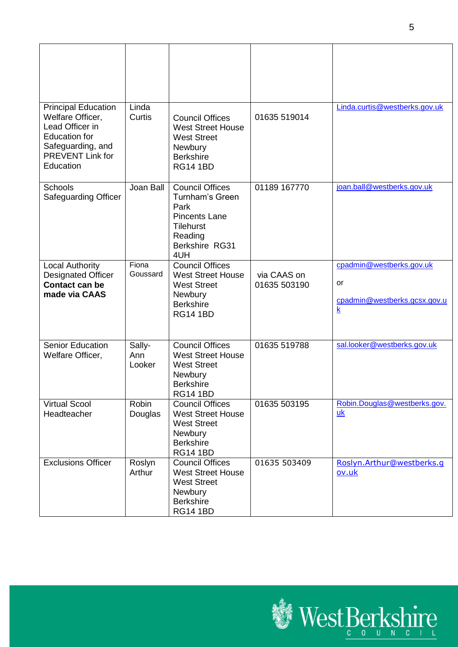| <b>Principal Education</b>                                                                                               | Linda                   |                                                                                                                                          |                             | Linda.curtis@westberks.gov.uk                                                             |
|--------------------------------------------------------------------------------------------------------------------------|-------------------------|------------------------------------------------------------------------------------------------------------------------------------------|-----------------------------|-------------------------------------------------------------------------------------------|
| Welfare Officer,<br>Lead Officer in<br><b>Education for</b><br>Safeguarding, and<br><b>PREVENT Link for</b><br>Education | Curtis                  | <b>Council Offices</b><br><b>West Street House</b><br><b>West Street</b><br>Newbury<br><b>Berkshire</b><br><b>RG14 1BD</b>               | 01635 519014                |                                                                                           |
| Schools<br><b>Safeguarding Officer</b>                                                                                   | Joan Ball               | <b>Council Offices</b><br><b>Turnham's Green</b><br>Park<br><b>Pincents Lane</b><br><b>Tilehurst</b><br>Reading<br>Berkshire RG31<br>4UH | 01189 167770                | joan.ball@westberks.gov.uk                                                                |
| <b>Local Authority</b><br><b>Designated Officer</b><br><b>Contact can be</b><br>made via CAAS                            | Fiona<br>Goussard       | <b>Council Offices</b><br><b>West Street House</b><br><b>West Street</b><br>Newbury<br><b>Berkshire</b><br><b>RG14 1BD</b>               | via CAAS on<br>01635 503190 | cpadmin@westberks.gov.uk<br>or<br>cpadmin@westberks.gcsx.gov.u<br>$\overline{\mathbf{k}}$ |
| <b>Senior Education</b><br>Welfare Officer,                                                                              | Sally-<br>Ann<br>Looker | <b>Council Offices</b><br><b>West Street House</b><br><b>West Street</b><br>Newbury<br><b>Berkshire</b><br><b>RG14 1BD</b>               | 01635 519788                | sal.looker@westberks.gov.uk                                                               |
| <b>Virtual Scool</b><br>Headteacher                                                                                      | Robin<br>Douglas        | <b>Council Offices</b><br><b>West Street House</b><br><b>West Street</b><br>Newbury<br><b>Berkshire</b><br><b>RG14 1BD</b>               | 01635 503195                | Robin.Douglas@westberks.gov.<br>uk                                                        |
| <b>Exclusions Officer</b>                                                                                                | Roslyn<br>Arthur        | <b>Council Offices</b><br><b>West Street House</b><br><b>West Street</b><br>Newbury<br><b>Berkshire</b><br><b>RG14 1BD</b>               | 01635 503409                | Roslyn.Arthur@westberks.q<br>ov.uk                                                        |

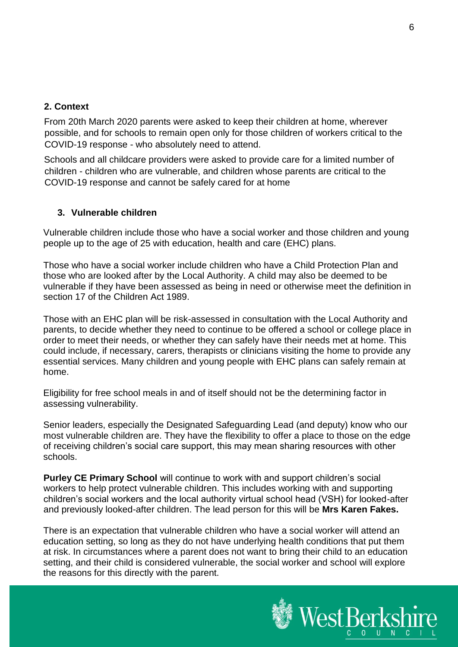#### **2. Context**

From 20th March 2020 parents were asked to keep their children at home, wherever possible, and for schools to remain open only for those children of workers critical to the COVID-19 response - who absolutely need to attend.

Schools and all childcare providers were asked to provide care for a limited number of children - children who are vulnerable, and children whose parents are critical to the COVID-19 response and cannot be safely cared for at home

#### <span id="page-5-0"></span>**3. Vulnerable children**

Vulnerable children include those who have a social worker and those children and young people up to the age of 25 with education, health and care (EHC) plans.

Those who have a social worker include children who have a Child Protection Plan and those who are looked after by the Local Authority. A child may also be deemed to be vulnerable if they have been assessed as being in need or otherwise meet the definition in section 17 of the Children Act 1989.

Those with an EHC plan will be risk-assessed in consultation with the Local Authority and parents, to decide whether they need to continue to be offered a school or college place in order to meet their needs, or whether they can safely have their needs met at home. This could include, if necessary, carers, therapists or clinicians visiting the home to provide any essential services. Many children and young people with EHC plans can safely remain at home.

Eligibility for free school meals in and of itself should not be the determining factor in assessing vulnerability.

Senior leaders, especially the Designated Safeguarding Lead (and deputy) know who our most vulnerable children are. They have the flexibility to offer a place to those on the edge of receiving children's social care support, this may mean sharing resources with other schools.

**Purley CE Primary School** will continue to work with and support children's social workers to help protect vulnerable children. This includes working with and supporting children's social workers and the local authority virtual school head (VSH) for looked-after and previously looked-after children. The lead person for this will be **Mrs Karen Fakes.**

There is an expectation that vulnerable children who have a social worker will attend an education setting, so long as they do not have underlying health conditions that put them at risk. In circumstances where a parent does not want to bring their child to an education setting, and their child is considered vulnerable, the social worker and school will explore the reasons for this directly with the parent.

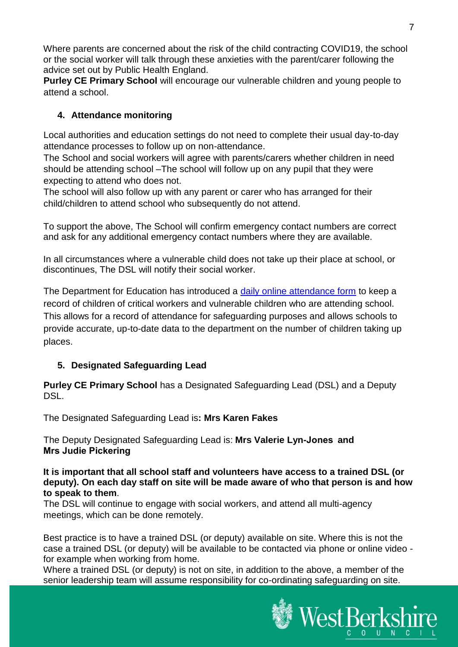Where parents are concerned about the risk of the child contracting COVID19, the school or the social worker will talk through these anxieties with the parent/carer following the advice set out by Public Health England.

**Purley CE Primary School** will encourage our vulnerable children and young people to attend a school.

# <span id="page-6-0"></span>**4. Attendance monitoring**

Local authorities and education settings do not need to complete their usual day-to-day attendance processes to follow up on non-attendance.

The School and social workers will agree with parents/carers whether children in need should be attending school –The school will follow up on any pupil that they were expecting to attend who does not.

The school will also follow up with any parent or carer who has arranged for their child/children to attend school who subsequently do not attend.

To support the above, The School will confirm emergency contact numbers are correct and ask for any additional emergency contact numbers where they are available.

In all circumstances where a vulnerable child does not take up their place at school, or discontinues, The DSL will notify their social worker.

The Department for Education has introduced a [daily online attendance form](https://www.gov.uk/government/publications/coronavirus-covid-19-attendance-recording-for-educational-settings) to keep a record of children of critical workers and vulnerable children who are attending school. This allows for a record of attendance for safeguarding purposes and allows schools to provide accurate, up-to-date data to the department on the number of children taking up places.

# <span id="page-6-1"></span>**5. Designated Safeguarding Lead**

**Purley CE Primary School** has a Designated Safeguarding Lead (DSL) and a Deputy DSL.

The Designated Safeguarding Lead is**: Mrs Karen Fakes**

The Deputy Designated Safeguarding Lead is: **Mrs Valerie Lyn-Jones  and Mrs Judie Pickering**

**It is important that all school staff and volunteers have access to a trained DSL (or deputy). On each day staff on site will be made aware of who that person is and how to speak to them**.

The DSL will continue to engage with social workers, and attend all multi-agency meetings, which can be done remotely.

Best practice is to have a trained DSL (or deputy) available on site. Where this is not the case a trained DSL (or deputy) will be available to be contacted via phone or online video for example when working from home.

Where a trained DSL (or deputy) is not on site, in addition to the above, a member of the senior leadership team will assume responsibility for co-ordinating safeguarding on site.

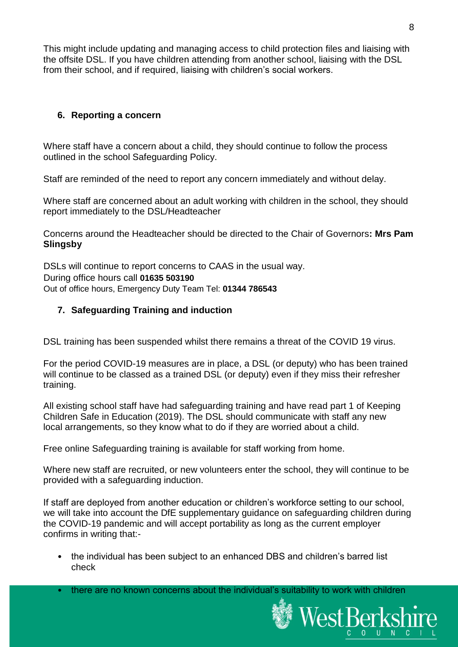This might include updating and managing access to child protection files and liaising with the offsite DSL. If you have children attending from another school, liaising with the DSL from their school, and if required, liaising with children's social workers.

# <span id="page-7-0"></span>**6. Reporting a concern**

Where staff have a concern about a child, they should continue to follow the process outlined in the school Safeguarding Policy.

Staff are reminded of the need to report any concern immediately and without delay.

Where staff are concerned about an adult working with children in the school, they should report immediately to the DSL/Headteacher

Concerns around the Headteacher should be directed to the Chair of Governors**: Mrs Pam Slingsby**

DSLs will continue to report concerns to CAAS in the usual way. During office hours call **01635 503190** Out of office hours, Emergency Duty Team Tel: **01344 786543**

#### <span id="page-7-1"></span>**7. Safeguarding Training and induction**

DSL training has been suspended whilst there remains a threat of the COVID 19 virus.

For the period COVID-19 measures are in place, a DSL (or deputy) who has been trained will continue to be classed as a trained DSL (or deputy) even if they miss their refresher training.

All existing school staff have had safeguarding training and have read part 1 of Keeping Children Safe in Education (2019). The DSL should communicate with staff any new local arrangements, so they know what to do if they are worried about a child.

Free online Safeguarding training is available for staff working from home.

Where new staff are recruited, or new volunteers enter the school, they will continue to be provided with a safeguarding induction.

If staff are deployed from another education or children's workforce setting to our school, we will take into account the DfE supplementary guidance on safeguarding children during the COVID-19 pandemic and will accept portability as long as the current employer confirms in writing that:-

- the individual has been subject to an enhanced DBS and children's barred list check
- there are no known concerns about the individual's suitability to work with children

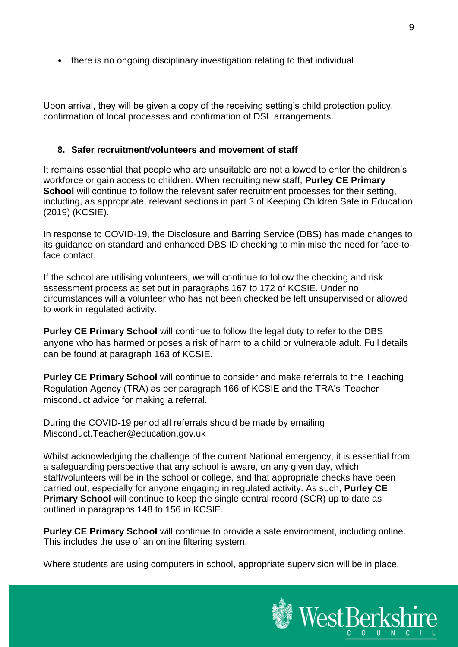• there is no ongoing disciplinary investigation relating to that individual

Upon arrival, they will be given a copy of the receiving setting's child protection policy, confirmation of local processes and confirmation of DSL arrangements.

#### <span id="page-8-0"></span>**8. Safer recruitment/volunteers and movement of staff**

It remains essential that people who are unsuitable are not allowed to enter the children's workforce or gain access to children. When recruiting new staff, **Purley CE Primary School** will continue to follow the relevant safer recruitment processes for their setting, including, as appropriate, relevant sections in part 3 of Keeping Children Safe in Education (2019) (KCSIE).

In response to COVID-19, the Disclosure and Barring Service (DBS) has made changes to its guidance on standard and enhanced DBS ID checking to minimise the need for face-toface contact.

If the school are utilising volunteers, we will continue to follow the checking and risk assessment process as set out in paragraphs 167 to 172 of KCSIE. Under no circumstances will a volunteer who has not been checked be left unsupervised or allowed to work in regulated activity.

**Purley CE Primary School** will continue to follow the legal duty to refer to the DBS anyone who has harmed or poses a risk of harm to a child or vulnerable adult. Full details can be found at paragraph 163 of KCSIE.

**Purley CE Primary School** will continue to consider and make referrals to the Teaching Regulation Agency (TRA) as per paragraph 166 of KCSIE and the TRA's 'Teacher misconduct advice for making a referral.

During the COVID-19 period all referrals should be made by emailing Misconduct.Teacher@education.gov.uk

Whilst acknowledging the challenge of the current National emergency, it is essential from a safeguarding perspective that any school is aware, on any given day, which staff/volunteers will be in the school or college, and that appropriate checks have been carried out, especially for anyone engaging in regulated activity. As such, **Purley CE Primary School** will continue to keep the single central record (SCR) up to date as outlined in paragraphs 148 to 156 in KCSIE.

**Purley CE Primary School** will continue to provide a safe environment, including online. This includes the use of an online filtering system.

Where students are using computers in school, appropriate supervision will be in place.

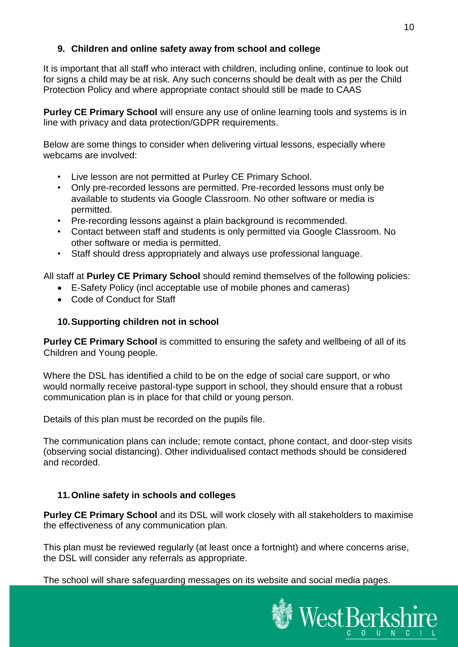# <span id="page-9-1"></span>**9. Children and online safety away from school and college**

It is important that all staff who interact with children, including online, continue to look out for signs a child may be at risk. Any such concerns should be dealt with as per the Child Protection Policy and where appropriate contact should still be made to CAAS

**Purley CE Primary School** will ensure any use of online learning tools and systems is in line with privacy and data protection/GDPR requirements.

Below are some things to consider when delivering virtual lessons, especially where webcams are involved:

- Live lesson are not permitted at Purley CE Primary School.
- Only pre-recorded lessons are permitted. Pre-recorded lessons must only be available to students via Google Classroom. No other software or media is permitted.
- Pre-recording lessons against a plain background is recommended.
- Contact between staff and students is only permitted via Google Classroom. No other software or media is permitted.
- Staff should dress appropriately and always use professional language.

All staff at **Purley CE Primary School** should remind themselves of the following policies:

- E-Safety Policy (incl acceptable use of mobile phones and cameras)
- Code of Conduct for Staff

#### <span id="page-9-2"></span>**10.Supporting children not in school**

**Purley CE Primary School** is committed to ensuring the safety and wellbeing of all of its Children and Young people.

Where the DSL has identified a child to be on the edge of social care support, or who would normally receive pastoral-type support in school, they should ensure that a robust communication plan is in place for that child or young person.

Details of this plan must be recorded on the pupils file.

The communication plans can include; remote contact, phone contact, and door-step visits (observing social distancing). Other individualised contact methods should be considered and recorded.

#### <span id="page-9-0"></span>**11.Online safety in schools and colleges**

**Purley CE Primary School** and its DSL will work closely with all stakeholders to maximise the effectiveness of any communication plan.

This plan must be reviewed regularly (at least once a fortnight) and where concerns arise, the DSL will consider any referrals as appropriate.

The school will share safeguarding messages on its website and social media pages.